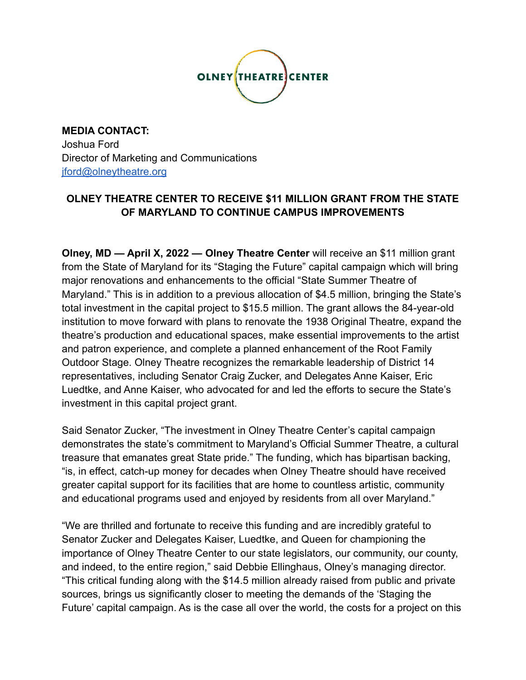

**MEDIA CONTACT:** Joshua Ford Director of Marketing and Communications [jford@olneytheatre.org](mailto:jford@olneytheatre.org)

# **OLNEY THEATRE CENTER TO RECEIVE \$11 MILLION GRANT FROM THE STATE OF MARYLAND TO CONTINUE CAMPUS IMPROVEMENTS**

**Olney, MD — April X, 2022 — Olney Theatre Center** will receive an \$11 million grant from the State of Maryland for its "Staging the Future" capital campaign which will bring major renovations and enhancements to the official "State Summer Theatre of Maryland." This is in addition to a previous allocation of \$4.5 million, bringing the State's total investment in the capital project to \$15.5 million. The grant allows the 84-year-old institution to move forward with plans to renovate the 1938 Original Theatre, expand the theatre's production and educational spaces, make essential improvements to the artist and patron experience, and complete a planned enhancement of the Root Family Outdoor Stage. Olney Theatre recognizes the remarkable leadership of District 14 representatives, including Senator Craig Zucker, and Delegates Anne Kaiser, Eric Luedtke, and Anne Kaiser, who advocated for and led the efforts to secure the State's investment in this capital project grant.

Said Senator Zucker, "The investment in Olney Theatre Center's capital campaign demonstrates the state's commitment to Maryland's Official Summer Theatre, a cultural treasure that emanates great State pride." The funding, which has bipartisan backing, "is, in effect, catch-up money for decades when Olney Theatre should have received greater capital support for its facilities that are home to countless artistic, community and educational programs used and enjoyed by residents from all over Maryland."

"We are thrilled and fortunate to receive this funding and are incredibly grateful to Senator Zucker and Delegates Kaiser, Luedtke, and Queen for championing the importance of Olney Theatre Center to our state legislators, our community, our county, and indeed, to the entire region," said Debbie Ellinghaus, Olney's managing director. "This critical funding along with the \$14.5 million already raised from public and private sources, brings us significantly closer to meeting the demands of the 'Staging the Future' capital campaign. As is the case all over the world, the costs for a project on this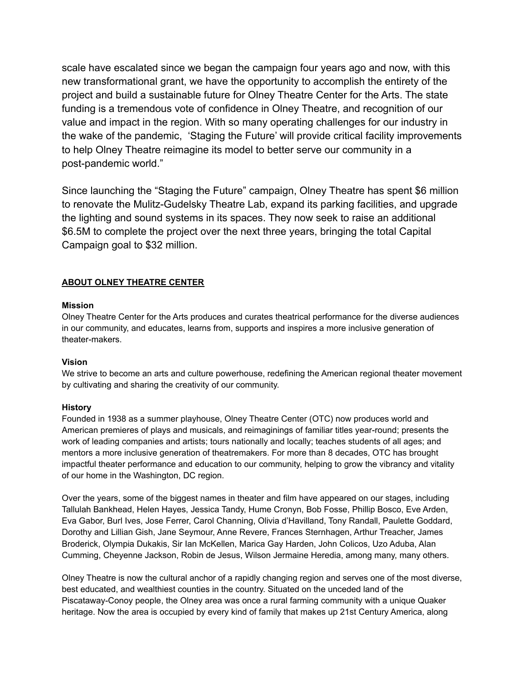scale have escalated since we began the campaign four years ago and now, with this new transformational grant, we have the opportunity to accomplish the entirety of the project and build a sustainable future for Olney Theatre Center for the Arts. The state funding is a tremendous vote of confidence in Olney Theatre, and recognition of our value and impact in the region. With so many operating challenges for our industry in the wake of the pandemic, 'Staging the Future' will provide critical facility improvements to help Olney Theatre reimagine its model to better serve our community in a post-pandemic world."

Since launching the "Staging the Future" campaign, Olney Theatre has spent \$6 million to renovate the Mulitz-Gudelsky Theatre Lab, expand its parking facilities, and upgrade the lighting and sound systems in its spaces. They now seek to raise an additional \$6.5M to complete the project over the next three years, bringing the total Capital Campaign goal to \$32 million.

## **ABOUT OLNEY THEATRE CENTER**

### **Mission**

Olney Theatre Center for the Arts produces and curates theatrical performance for the diverse audiences in our community, and educates, learns from, supports and inspires a more inclusive generation of theater-makers.

## **Vision**

We strive to become an arts and culture powerhouse, redefining the American regional theater movement by cultivating and sharing the creativity of our community.

#### **History**

Founded in 1938 as a summer playhouse, Olney Theatre Center (OTC) now produces world and American premieres of plays and musicals, and reimaginings of familiar titles year-round; presents the work of leading companies and artists; tours nationally and locally; teaches students of all ages; and mentors a more inclusive generation of theatremakers. For more than 8 decades, OTC has brought impactful theater performance and education to our community, helping to grow the vibrancy and vitality of our home in the Washington, DC region.

Over the years, some of the biggest names in theater and film have appeared on our stages, including Tallulah Bankhead, Helen Hayes, Jessica Tandy, Hume Cronyn, Bob Fosse, Phillip Bosco, Eve Arden, Eva Gabor, Burl Ives, Jose Ferrer, Carol Channing, Olivia d'Havilland, Tony Randall, Paulette Goddard, Dorothy and Lillian Gish, Jane Seymour, Anne Revere, Frances Sternhagen, Arthur Treacher, James Broderick, Olympia Dukakis, Sir Ian McKellen, Marica Gay Harden, John Colicos, Uzo Aduba, Alan Cumming, Cheyenne Jackson, Robin de Jesus, Wilson Jermaine Heredia, among many, many others.

Olney Theatre is now the cultural anchor of a rapidly changing region and serves one of the most diverse, best educated, and wealthiest counties in the country. Situated on the unceded land of the Piscataway-Conoy people, the Olney area was once a rural farming community with a unique Quaker heritage. Now the area is occupied by every kind of family that makes up 21st Century America, along